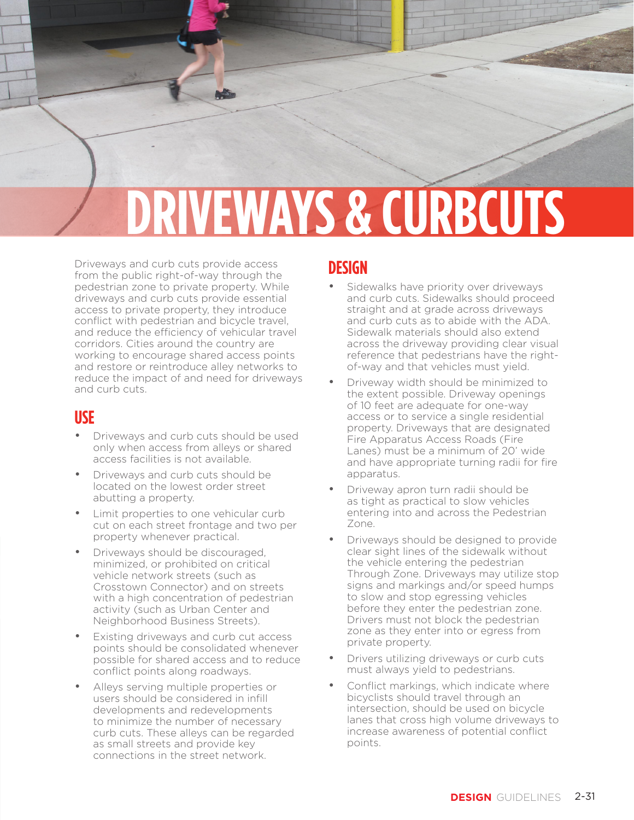# **IVEWAYS & CURBCUTS**

Driveways and curb cuts provide access from the public right-of-way through the pedestrian zone to private property. While driveways and curb cuts provide essential access to private property, they introduce conflict with pedestrian and bicycle travel, and reduce the efficiency of vehicular travel corridors. Cities around the country are working to encourage shared access points and restore or reintroduce alley networks to reduce the impact of and need for driveways and curb cuts.

### **USE**

- Driveways and curb cuts should be used only when access from alleys or shared access facilities is not available.
- Driveways and curb cuts should be located on the lowest order street abutting a property.
- Limit properties to one vehicular curb cut on each street frontage and two per property whenever practical.
- Driveways should be discouraged, minimized, or prohibited on critical vehicle network streets (such as Crosstown Connector) and on streets with a high concentration of pedestrian activity (such as Urban Center and Neighborhood Business Streets).
- Existing driveways and curb cut access points should be consolidated whenever possible for shared access and to reduce conflict points along roadways.
- Alleys serving multiple properties or users should be considered in infill developments and redevelopments to minimize the number of necessary curb cuts. These alleys can be regarded as small streets and provide key connections in the street network.

## **DESIGN**

Sidewalks have priority over driveways and curb cuts. Sidewalks should proceed straight and at grade across driveways and curb cuts as to abide with the ADA. Sidewalk materials should also extend across the driveway providing clear visual reference that pedestrians have the rightof-way and that vehicles must yield.

PEDESTRIAN ZONE

- Driveway width should be minimized to the extent possible. Driveway openings of 10 feet are adequate for one-way access or to service a single residential property. Driveways that are designated Fire Apparatus Access Roads (Fire Lanes) must be a minimum of 20' wide and have appropriate turning radii for fire apparatus.
- Driveway apron turn radii should be as tight as practical to slow vehicles entering into and across the Pedestrian Zone.
- Driveways should be designed to provide clear sight lines of the sidewalk without the vehicle entering the pedestrian Through Zone. Driveways may utilize stop signs and markings and/or speed humps to slow and stop egressing vehicles before they enter the pedestrian zone. Drivers must not block the pedestrian zone as they enter into or egress from private property.
- Drivers utilizing driveways or curb cuts must always yield to pedestrians.
- Conflict markings, which indicate where bicyclists should travel through an intersection, should be used on bicycle lanes that cross high volume driveways to increase awareness of potential conflict points.